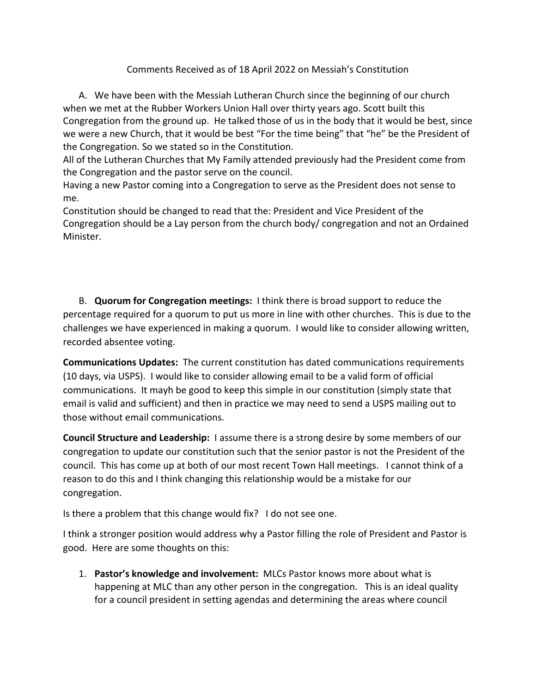## Comments Received as of 18 April 2022 on Messiah's Constitution

A. We have been with the Messiah Lutheran Church since the beginning of our church when we met at the Rubber Workers Union Hall over thirty years ago. Scott built this Congregation from the ground up. He talked those of us in the body that it would be best, since we were a new Church, that it would be best "For the time being" that "he" be the President of the Congregation. So we stated so in the Constitution.

All of the Lutheran Churches that My Family attended previously had the President come from the Congregation and the pastor serve on the council.

Having a new Pastor coming into a Congregation to serve as the President does not sense to me.

Constitution should be changed to read that the: President and Vice President of the Congregation should be a Lay person from the church body/ congregation and not an Ordained Minister.

B. **Quorum for Congregation meetings:** I think there is broad support to reduce the percentage required for a quorum to put us more in line with other churches. This is due to the challenges we have experienced in making a quorum. I would like to consider allowing written, recorded absentee voting.

**Communications Updates:** The current constitution has dated communications requirements (10 days, via USPS). I would like to consider allowing email to be a valid form of official communications. It mayh be good to keep this simple in our constitution (simply state that email is valid and sufficient) and then in practice we may need to send a USPS mailing out to those without email communications.

**Council Structure and Leadership:** I assume there is a strong desire by some members of our congregation to update our constitution such that the senior pastor is not the President of the council. This has come up at both of our most recent Town Hall meetings. I cannot think of a reason to do this and I think changing this relationship would be a mistake for our congregation.

Is there a problem that this change would fix? I do not see one.

I think a stronger position would address why a Pastor filling the role of President and Pastor is good. Here are some thoughts on this:

1. **Pastor's knowledge and involvement:** MLCs Pastor knows more about what is happening at MLC than any other person in the congregation. This is an ideal quality for a council president in setting agendas and determining the areas where council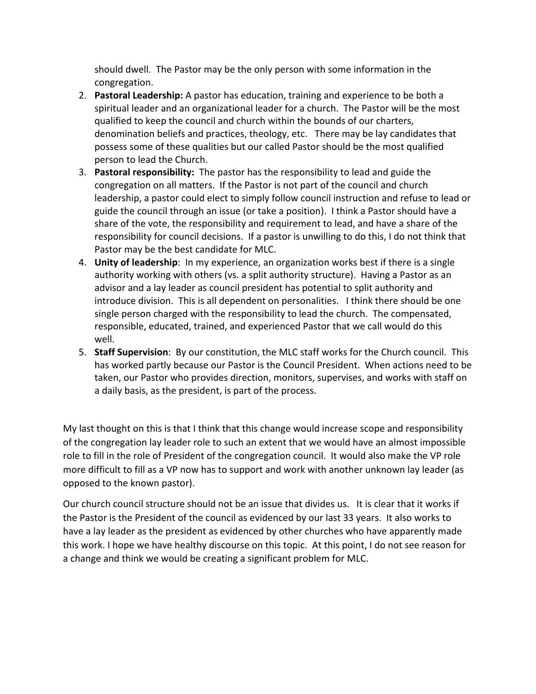should dwell. The Pastor may be the only person with some information in the congregation.

- 2. **Pastoral Leadership:** A pastor has education, training and experience to be both a spiritual leader and an organizational leader for a church. The Pastor will be the most qualified to keep the council and church within the bounds of our charters, denomination beliefs and practices, theology, etc. There may be lay candidates that possess some of these qualities but our called Pastor should be the most qualified person to lead the Church.
- 3. **Pastoral responsibility:** The pastor has the responsibility to lead and guide the congregation on all matters. If the Pastor is not part of the council and church leadership, a pastor could elect to simply follow council instruction and refuse to lead or guide the council through an issue (or take a position). I think a Pastor should have a share of the vote, the responsibility and requirement to lead, and have a share of the responsibility for council decisions. If a pastor is unwilling to do this, I do not think that Pastor may be the best candidate for MLC.
- 4. **Unity of leadership**: In my experience, an organization works best if there is a single authority working with others (vs. a split authority structure). Having a Pastor as an advisor and a lay leader as council president has potential to split authority and introduce division. This is all dependent on personalities. I think there should be one single person charged with the responsibility to lead the church. The compensated, responsible, educated, trained, and experienced Pastor that we call would do this well.
- 5. **Staff Supervision**: By our constitution, the MLC staff works for the Church council. This has worked partly because our Pastor is the Council President. When actions need to be taken, our Pastor who provides direction, monitors, supervises, and works with staff on a daily basis, as the president, is part of the process.

My last thought on this is that I think that this change would increase scope and responsibility of the congregation lay leader role to such an extent that we would have an almost impossible role to fill in the role of President of the congregation council. It would also make the VP role more difficult to fill as a VP now has to support and work with another unknown lay leader (as opposed to the known pastor).

Our church council structure should not be an issue that divides us. It is clear that it works if the Pastor is the President of the council as evidenced by our last 33 years. It also works to have a lay leader as the president as evidenced by other churches who have apparently made this work. I hope we have healthy discourse on this topic. At this point, I do not see reason for a change and think we would be creating a significant problem for MLC.